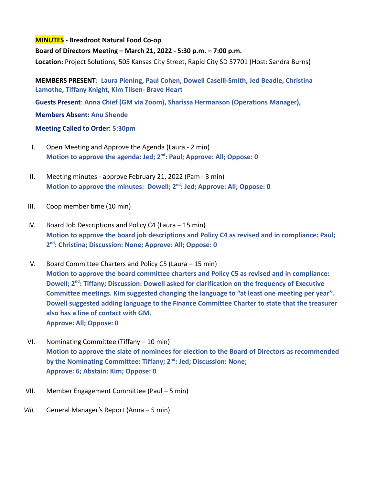## **MINUTES - Breadroot Natural Food Co-op**

**Board of Directors Meeting – March 21, 2022 - 5:30 p.m. – 7:00 p.m.**

**Location:** Project Solutions, 505 Kansas City Street, Rapid City SD 57701 (Host: Sandra Burns)

**MEMBERS PRESENT***:* **Laura Piening, Paul Cohen, Dowell Caselli-Smith, Jed Beadle, Christina Lamothe, Tiffany Knight, Kim Tilsen- Brave Heart**

**Guests Present**: **Anna Chief (GM via Zoom), Sharissa Hermanson (Operations Manager),**

**Members Absent: Anu Shende**

## **Meeting Called to Order: 5:30pm**

- I. Open Meeting and Approve the Agenda (Laura 2 min) **Motion to approve the agenda: Jed; 2nd : Paul; Approve: All; Oppose: 0**
- II. Meeting minutes approve February 21, 2022 (Pam 3 min) **Motion to approve the minutes: Dowell; 2nd : Jed; Approve: All; Oppose: 0**
- III. Coop member time (10 min)
- IV. Board Job Descriptions and Policy C4 (Laura 15 min) **Motion to approve the board job descriptions and Policy C4 as revised and in compliance: Paul; 2 nd : Christina; Discussion: None; Approve: All; Oppose: 0**
- V. Board Committee Charters and Policy C5 (Laura 15 min) **Motion to approve the board committee charters and Policy C5 as revised and in compliance: Dowell; 2nd : Tiffany; Discussion: Dowell asked for clarification on the frequency of Executive Committee meetings. Kim suggested changing the language to "at least one meeting per year". Dowell suggested adding language to the Finance Committee Charter to state that the treasurer also has a line of contact with GM. Approve: All; Oppose: 0**
- VI. Nominating Committee (Tiffany 10 min) **Motion to approve the slate of nominees for election to the Board of Directors as recommended by the Nominating Committee: Tiffany; 2nd : Jed; Discussion: None; Approve: 6; Abstain: Kim; Oppose: 0**
- VII. Member Engagement Committee (Paul 5 min)
- *VIII.* General Manager's Report (Anna 5 min)